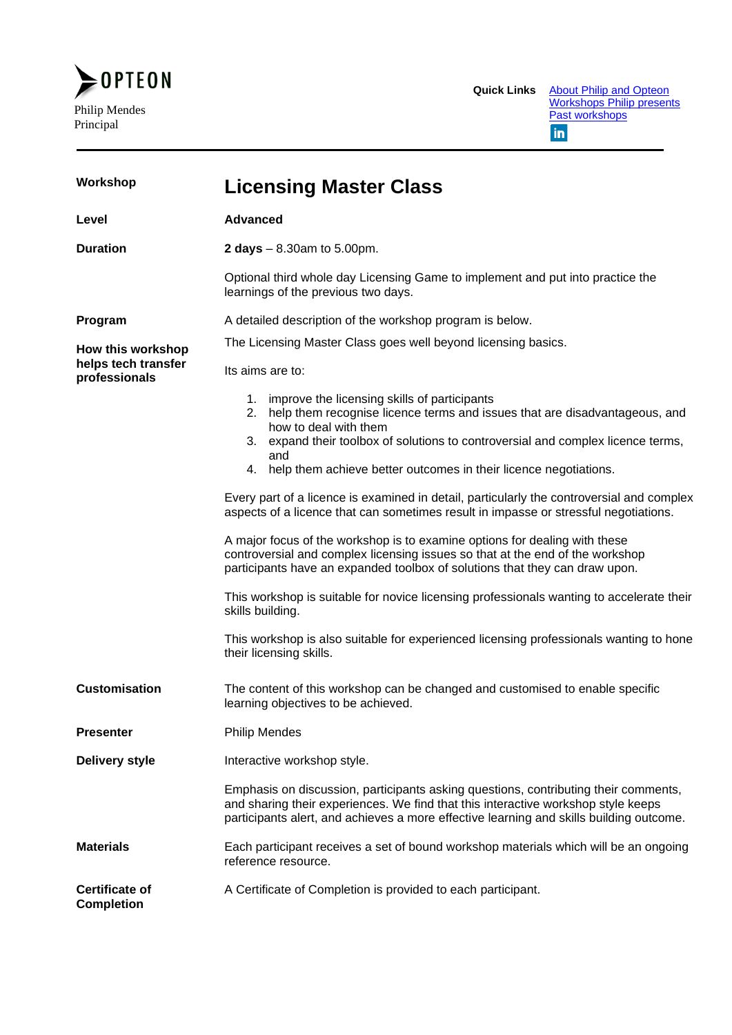

| Workshop                             | <b>Licensing Master Class</b>                                                                                                                                                                                                                                       |  |
|--------------------------------------|---------------------------------------------------------------------------------------------------------------------------------------------------------------------------------------------------------------------------------------------------------------------|--|
| Level                                | <b>Advanced</b>                                                                                                                                                                                                                                                     |  |
| <b>Duration</b>                      | <b>2 days</b> $- 8.30$ am to 5.00pm.                                                                                                                                                                                                                                |  |
|                                      | Optional third whole day Licensing Game to implement and put into practice the<br>learnings of the previous two days.                                                                                                                                               |  |
| Program                              | A detailed description of the workshop program is below.                                                                                                                                                                                                            |  |
| How this workshop                    | The Licensing Master Class goes well beyond licensing basics.                                                                                                                                                                                                       |  |
| helps tech transfer<br>professionals | Its aims are to:                                                                                                                                                                                                                                                    |  |
|                                      | 1. improve the licensing skills of participants<br>2. help them recognise licence terms and issues that are disadvantageous, and<br>how to deal with them<br>3. expand their toolbox of solutions to controversial and complex licence terms,                       |  |
|                                      | and<br>help them achieve better outcomes in their licence negotiations.<br>4.                                                                                                                                                                                       |  |
|                                      | Every part of a licence is examined in detail, particularly the controversial and complex<br>aspects of a licence that can sometimes result in impasse or stressful negotiations.                                                                                   |  |
|                                      | A major focus of the workshop is to examine options for dealing with these<br>controversial and complex licensing issues so that at the end of the workshop<br>participants have an expanded toolbox of solutions that they can draw upon.                          |  |
|                                      | This workshop is suitable for novice licensing professionals wanting to accelerate their<br>skills building.                                                                                                                                                        |  |
|                                      | This workshop is also suitable for experienced licensing professionals wanting to hone<br>their licensing skills.                                                                                                                                                   |  |
| <b>Customisation</b>                 | The content of this workshop can be changed and customised to enable specific<br>learning objectives to be achieved.                                                                                                                                                |  |
| <b>Presenter</b>                     | <b>Philip Mendes</b>                                                                                                                                                                                                                                                |  |
| <b>Delivery style</b>                | Interactive workshop style.                                                                                                                                                                                                                                         |  |
|                                      | Emphasis on discussion, participants asking questions, contributing their comments,<br>and sharing their experiences. We find that this interactive workshop style keeps<br>participants alert, and achieves a more effective learning and skills building outcome. |  |
| <b>Materials</b>                     | Each participant receives a set of bound workshop materials which will be an ongoing<br>reference resource.                                                                                                                                                         |  |
| Certificate of<br><b>Completion</b>  | A Certificate of Completion is provided to each participant.                                                                                                                                                                                                        |  |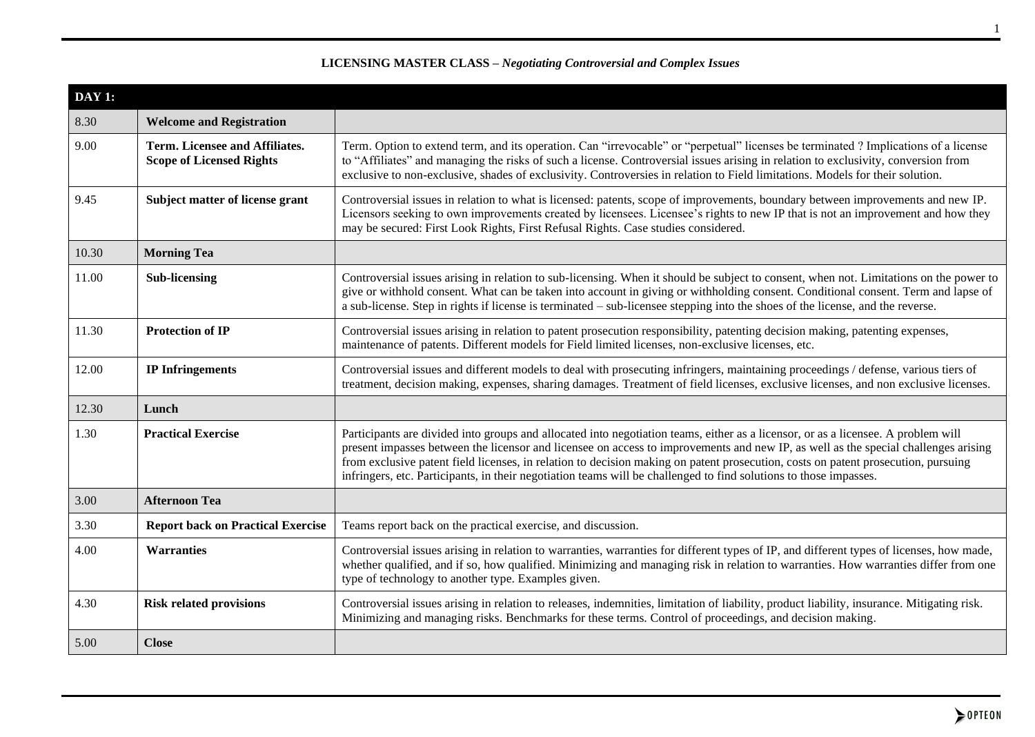| DAY 1: |                                                                   |                                                                                                                                                                                                                                                                                                                                                                                                                                                                                                                                   |
|--------|-------------------------------------------------------------------|-----------------------------------------------------------------------------------------------------------------------------------------------------------------------------------------------------------------------------------------------------------------------------------------------------------------------------------------------------------------------------------------------------------------------------------------------------------------------------------------------------------------------------------|
| 8.30   | <b>Welcome and Registration</b>                                   |                                                                                                                                                                                                                                                                                                                                                                                                                                                                                                                                   |
| 9.00   | Term. Licensee and Affiliates.<br><b>Scope of Licensed Rights</b> | Term. Option to extend term, and its operation. Can "irrevocable" or "perpetual" licenses be terminated ? Implications of a license<br>to "Affiliates" and managing the risks of such a license. Controversial issues arising in relation to exclusivity, conversion from<br>exclusive to non-exclusive, shades of exclusivity. Controversies in relation to Field limitations. Models for their solution.                                                                                                                        |
| 9.45   | Subject matter of license grant                                   | Controversial issues in relation to what is licensed: patents, scope of improvements, boundary between improvements and new IP.<br>Licensors seeking to own improvements created by licensees. Licensee's rights to new IP that is not an improvement and how they<br>may be secured: First Look Rights, First Refusal Rights. Case studies considered.                                                                                                                                                                           |
| 10.30  | <b>Morning Tea</b>                                                |                                                                                                                                                                                                                                                                                                                                                                                                                                                                                                                                   |
| 11.00  | <b>Sub-licensing</b>                                              | Controversial issues arising in relation to sub-licensing. When it should be subject to consent, when not. Limitations on the power to<br>give or withhold consent. What can be taken into account in giving or withholding consent. Conditional consent. Term and lapse of<br>a sub-license. Step in rights if license is terminated – sub-licensee stepping into the shoes of the license, and the reverse.                                                                                                                     |
| 11.30  | <b>Protection of IP</b>                                           | Controversial issues arising in relation to patent prosecution responsibility, patenting decision making, patenting expenses,<br>maintenance of patents. Different models for Field limited licenses, non-exclusive licenses, etc.                                                                                                                                                                                                                                                                                                |
| 12.00  | <b>IP</b> Infringements                                           | Controversial issues and different models to deal with prosecuting infringers, maintaining proceedings / defense, various tiers of<br>treatment, decision making, expenses, sharing damages. Treatment of field licenses, exclusive licenses, and non exclusive licenses.                                                                                                                                                                                                                                                         |
| 12.30  | Lunch                                                             |                                                                                                                                                                                                                                                                                                                                                                                                                                                                                                                                   |
| 1.30   | <b>Practical Exercise</b>                                         | Participants are divided into groups and allocated into negotiation teams, either as a licensor, or as a licensee. A problem will<br>present impasses between the licensor and licensee on access to improvements and new IP, as well as the special challenges arising<br>from exclusive patent field licenses, in relation to decision making on patent prosecution, costs on patent prosecution, pursuing<br>infringers, etc. Participants, in their negotiation teams will be challenged to find solutions to those impasses. |
| 3.00   | <b>Afternoon Tea</b>                                              |                                                                                                                                                                                                                                                                                                                                                                                                                                                                                                                                   |
| 3.30   | <b>Report back on Practical Exercise</b>                          | Teams report back on the practical exercise, and discussion.                                                                                                                                                                                                                                                                                                                                                                                                                                                                      |
| 4.00   | <b>Warranties</b>                                                 | Controversial issues arising in relation to warranties, warranties for different types of IP, and different types of licenses, how made,<br>whether qualified, and if so, how qualified. Minimizing and managing risk in relation to warranties. How warranties differ from one<br>type of technology to another type. Examples given.                                                                                                                                                                                            |
| 4.30   | <b>Risk related provisions</b>                                    | Controversial issues arising in relation to releases, indemnities, limitation of liability, product liability, insurance. Mitigating risk.<br>Minimizing and managing risks. Benchmarks for these terms. Control of proceedings, and decision making.                                                                                                                                                                                                                                                                             |
| 5.00   | <b>Close</b>                                                      |                                                                                                                                                                                                                                                                                                                                                                                                                                                                                                                                   |

# **LICENSING MASTER CLASS –** *Negotiating Controversial and Complex Issues*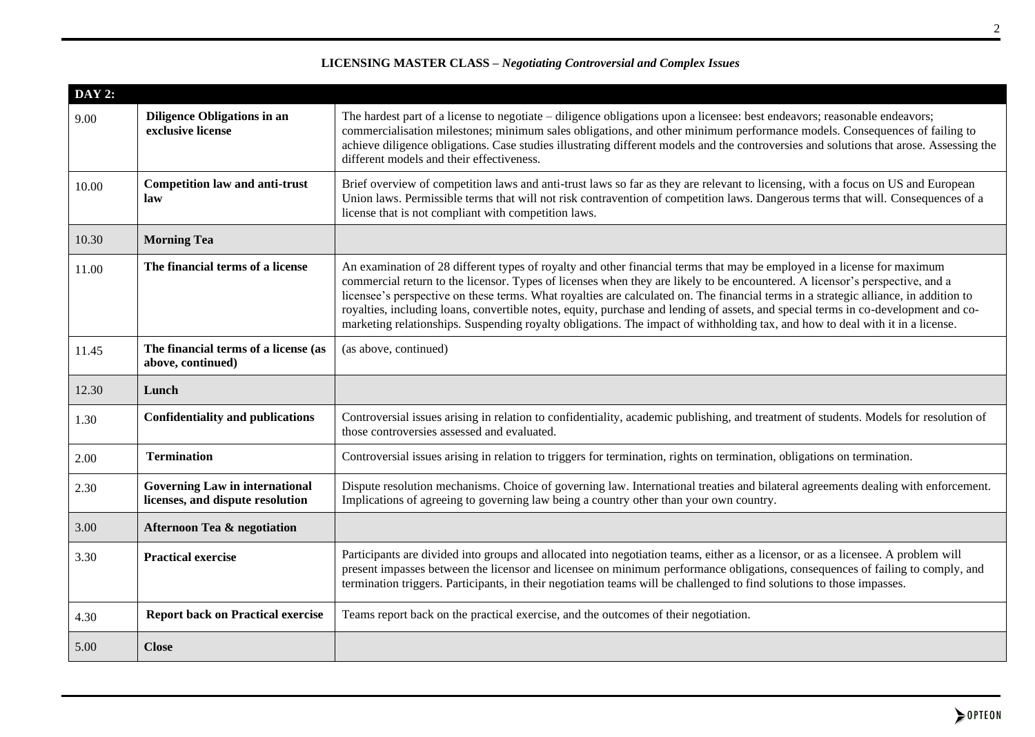| <b>DAY 2:</b> |                                                                           |                                                                                                                                                                                                                                                                                                                                                                                                                                                                                                                                                                                                                                                                        |
|---------------|---------------------------------------------------------------------------|------------------------------------------------------------------------------------------------------------------------------------------------------------------------------------------------------------------------------------------------------------------------------------------------------------------------------------------------------------------------------------------------------------------------------------------------------------------------------------------------------------------------------------------------------------------------------------------------------------------------------------------------------------------------|
| 9.00          | <b>Diligence Obligations in an</b><br>exclusive license                   | The hardest part of a license to negotiate – diligence obligations upon a licensee: best endeavors; reasonable endeavors;<br>commercialisation milestones; minimum sales obligations, and other minimum performance models. Consequences of failing to<br>achieve diligence obligations. Case studies illustrating different models and the controversies and solutions that arose. Assessing the<br>different models and their effectiveness.                                                                                                                                                                                                                         |
| 10.00         | <b>Competition law and anti-trust</b><br>law                              | Brief overview of competition laws and anti-trust laws so far as they are relevant to licensing, with a focus on US and European<br>Union laws. Permissible terms that will not risk contravention of competition laws. Dangerous terms that will. Consequences of a<br>license that is not compliant with competition laws.                                                                                                                                                                                                                                                                                                                                           |
| 10.30         | <b>Morning Tea</b>                                                        |                                                                                                                                                                                                                                                                                                                                                                                                                                                                                                                                                                                                                                                                        |
| 11.00         | The financial terms of a license                                          | An examination of 28 different types of royalty and other financial terms that may be employed in a license for maximum<br>commercial return to the licensor. Types of licenses when they are likely to be encountered. A licensor's perspective, and a<br>licensee's perspective on these terms. What royalties are calculated on. The financial terms in a strategic alliance, in addition to<br>royalties, including loans, convertible notes, equity, purchase and lending of assets, and special terms in co-development and co-<br>marketing relationships. Suspending royalty obligations. The impact of withholding tax, and how to deal with it in a license. |
| 11.45         | The financial terms of a license (as<br>above, continued)                 | (as above, continued)                                                                                                                                                                                                                                                                                                                                                                                                                                                                                                                                                                                                                                                  |
| 12.30         | Lunch                                                                     |                                                                                                                                                                                                                                                                                                                                                                                                                                                                                                                                                                                                                                                                        |
| 1.30          | <b>Confidentiality and publications</b>                                   | Controversial issues arising in relation to confidentiality, academic publishing, and treatment of students. Models for resolution of<br>those controversies assessed and evaluated.                                                                                                                                                                                                                                                                                                                                                                                                                                                                                   |
| 2.00          | <b>Termination</b>                                                        | Controversial issues arising in relation to triggers for termination, rights on termination, obligations on termination.                                                                                                                                                                                                                                                                                                                                                                                                                                                                                                                                               |
| 2.30          | <b>Governing Law in international</b><br>licenses, and dispute resolution | Dispute resolution mechanisms. Choice of governing law. International treaties and bilateral agreements dealing with enforcement.<br>Implications of agreeing to governing law being a country other than your own country.                                                                                                                                                                                                                                                                                                                                                                                                                                            |
| 3.00          | <b>Afternoon Tea &amp; negotiation</b>                                    |                                                                                                                                                                                                                                                                                                                                                                                                                                                                                                                                                                                                                                                                        |
| 3.30          | <b>Practical exercise</b>                                                 | Participants are divided into groups and allocated into negotiation teams, either as a licensor, or as a licensee. A problem will<br>present impasses between the licensor and licensee on minimum performance obligations, consequences of failing to comply, and<br>termination triggers. Participants, in their negotiation teams will be challenged to find solutions to those impasses.                                                                                                                                                                                                                                                                           |
|               |                                                                           |                                                                                                                                                                                                                                                                                                                                                                                                                                                                                                                                                                                                                                                                        |
| 4.30          | <b>Report back on Practical exercise</b>                                  | Teams report back on the practical exercise, and the outcomes of their negotiation.                                                                                                                                                                                                                                                                                                                                                                                                                                                                                                                                                                                    |

# **LICENSING MASTER CLASS –** *Negotiating Controversial and Complex Issues*